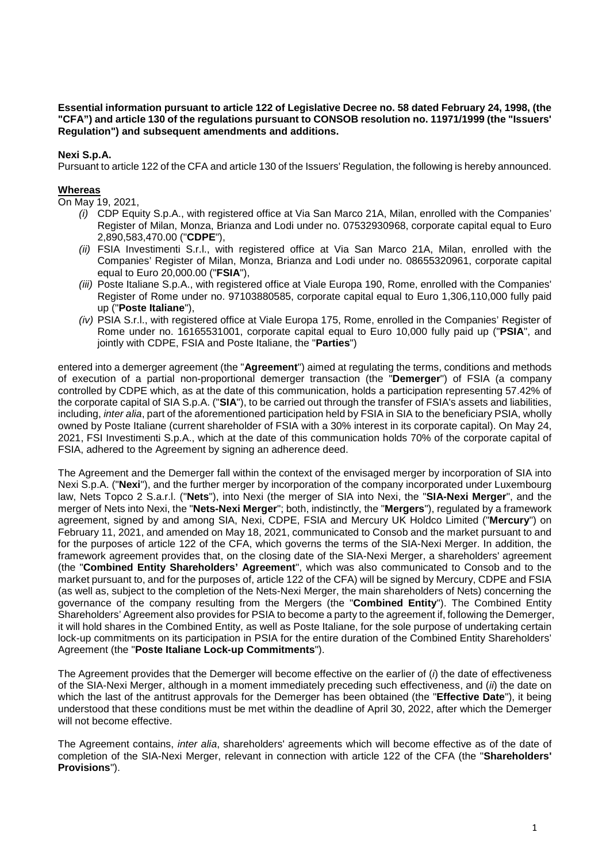**Essential information pursuant to article 122 of Legislative Decree no. 58 dated February 24, 1998, (the "CFA") and article 130 of the regulations pursuant to CONSOB resolution no. 11971/1999 (the "Issuers' Regulation") and subsequent amendments and additions.**

## **Nexi S.p.A.**

Pursuant to article 122 of the CFA and article 130 of the Issuers' Regulation, the following is hereby announced.

### **Whereas**

On May 19, 2021,

- *(i)* CDP Equity S.p.A., with registered office at Via San Marco 21A, Milan, enrolled with the Companies' Register of Milan, Monza, Brianza and Lodi under no. 07532930968, corporate capital equal to Euro 2,890,583,470.00 ("**CDPE**"),
- *(ii)* FSIA Investimenti S.r.l., with registered office at Via San Marco 21A, Milan, enrolled with the Companies' Register of Milan, Monza, Brianza and Lodi under no. 08655320961, corporate capital equal to Euro 20,000.00 ("**FSIA**"),
- *(iii)* Poste Italiane S.p.A., with registered office at Viale Europa 190, Rome, enrolled with the Companies' Register of Rome under no. 97103880585, corporate capital equal to Euro 1,306,110,000 fully paid up ("**Poste Italiane**"),
- *(iv)* PSIA S.r.l., with registered office at Viale Europa 175, Rome, enrolled in the Companies' Register of Rome under no. 16165531001, corporate capital equal to Euro 10,000 fully paid up ("**PSIA**", and jointly with CDPE, FSIA and Poste Italiane, the "**Parties**")

entered into a demerger agreement (the "**Agreement**") aimed at regulating the terms, conditions and methods of execution of a partial non-proportional demerger transaction (the "**Demerger**") of FSIA (a company controlled by CDPE which, as at the date of this communication, holds a participation representing 57.42% of the corporate capital of SIA S.p.A. ("**SIA**"), to be carried out through the transfer of FSIA's assets and liabilities, including, *inter alia*, part of the aforementioned participation held by FSIA in SIA to the beneficiary PSIA, wholly owned by Poste Italiane (current shareholder of FSIA with a 30% interest in its corporate capital). On May 24, 2021, FSI Investimenti S.p.A., which at the date of this communication holds 70% of the corporate capital of FSIA, adhered to the Agreement by signing an adherence deed.

The Agreement and the Demerger fall within the context of the envisaged merger by incorporation of SIA into Nexi S.p.A. ("**Nexi**"), and the further merger by incorporation of the company incorporated under Luxembourg law, Nets Topco 2 S.a.r.l. ("**Nets**"), into Nexi (the merger of SIA into Nexi, the "**SIA-Nexi Merger**", and the merger of Nets into Nexi, the "**Nets-Nexi Merger**"; both, indistinctly, the "**Mergers**"), regulated by a framework agreement, signed by and among SIA, Nexi, CDPE, FSIA and Mercury UK Holdco Limited ("**Mercury**") on February 11, 2021, and amended on May 18, 2021, communicated to Consob and the market pursuant to and for the purposes of article 122 of the CFA, which governs the terms of the SIA-Nexi Merger. In addition, the framework agreement provides that, on the closing date of the SIA-Nexi Merger, a shareholders' agreement (the "**Combined Entity Shareholders' Agreement**", which was also communicated to Consob and to the market pursuant to, and for the purposes of, article 122 of the CFA) will be signed by Mercury, CDPE and FSIA (as well as, subject to the completion of the Nets-Nexi Merger, the main shareholders of Nets) concerning the governance of the company resulting from the Mergers (the "**Combined Entity**"). The Combined Entity Shareholders' Agreement also provides for PSIA to become a party to the agreement if, following the Demerger, it will hold shares in the Combined Entity, as well as Poste Italiane, for the sole purpose of undertaking certain lock-up commitments on its participation in PSIA for the entire duration of the Combined Entity Shareholders' Agreement (the "**Poste Italiane Lock-up Commitments**").

The Agreement provides that the Demerger will become effective on the earlier of (*i*) the date of effectiveness of the SIA-Nexi Merger, although in a moment immediately preceding such effectiveness, and (*ii*) the date on which the last of the antitrust approvals for the Demerger has been obtained (the "**Effective Date**"), it being understood that these conditions must be met within the deadline of April 30, 2022, after which the Demerger will not become effective.

The Agreement contains, *inter alia*, shareholders' agreements which will become effective as of the date of completion of the SIA-Nexi Merger, relevant in connection with article 122 of the CFA (the "**Shareholders' Provisions**").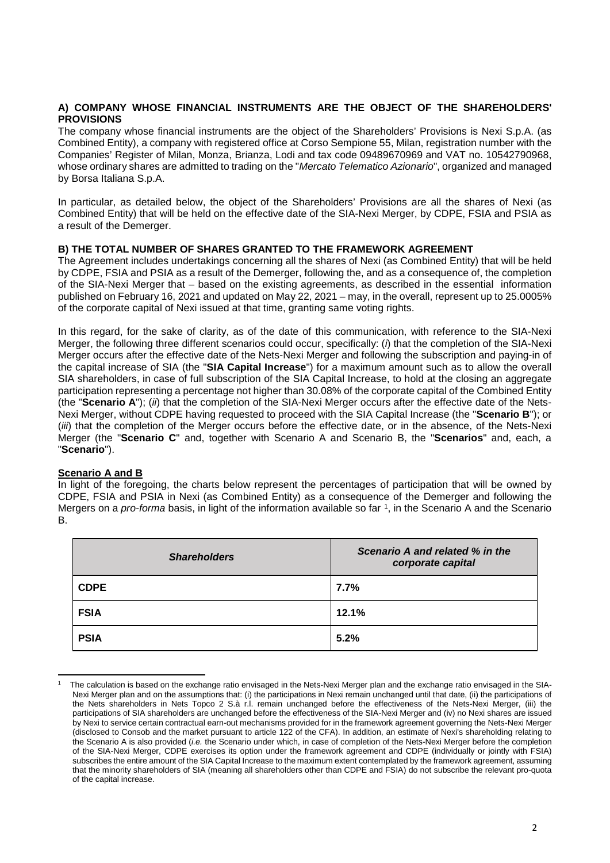### **A) COMPANY WHOSE FINANCIAL INSTRUMENTS ARE THE OBJECT OF THE SHAREHOLDERS' PROVISIONS**

The company whose financial instruments are the object of the Shareholders' Provisions is Nexi S.p.A. (as Combined Entity), a company with registered office at Corso Sempione 55, Milan, registration number with the Companies' Register of Milan, Monza, Brianza, Lodi and tax code 09489670969 and VAT no. 10542790968, whose ordinary shares are admitted to trading on the "*Mercato Telematico Azionario*", organized and managed by Borsa Italiana S.p.A.

In particular, as detailed below, the object of the Shareholders' Provisions are all the shares of Nexi (as Combined Entity) that will be held on the effective date of the SIA-Nexi Merger, by CDPE, FSIA and PSIA as a result of the Demerger.

### **B) THE TOTAL NUMBER OF SHARES GRANTED TO THE FRAMEWORK AGREEMENT**

The Agreement includes undertakings concerning all the shares of Nexi (as Combined Entity) that will be held by CDPE, FSIA and PSIA as a result of the Demerger, following the, and as a consequence of, the completion of the SIA-Nexi Merger that – based on the existing agreements, as described in the essential information published on February 16, 2021 and updated on May 22, 2021 – may, in the overall, represent up to 25.0005% of the corporate capital of Nexi issued at that time, granting same voting rights.

In this regard, for the sake of clarity, as of the date of this communication, with reference to the SIA-Nexi Merger, the following three different scenarios could occur, specifically: (*i*) that the completion of the SIA-Nexi Merger occurs after the effective date of the Nets-Nexi Merger and following the subscription and paying-in of the capital increase of SIA (the "**SIA Capital Increase**") for a maximum amount such as to allow the overall SIA shareholders, in case of full subscription of the SIA Capital Increase, to hold at the closing an aggregate participation representing a percentage not higher than 30.08% of the corporate capital of the Combined Entity (the "**Scenario A**"); (*ii*) that the completion of the SIA-Nexi Merger occurs after the effective date of the Nets-Nexi Merger, without CDPE having requested to proceed with the SIA Capital Increase (the "**Scenario B**"); or (*iii*) that the completion of the Merger occurs before the effective date, or in the absence, of the Nets-Nexi Merger (the "**Scenario C**" and, together with Scenario A and Scenario B, the "**Scenarios**" and, each, a "**Scenario**").

#### **Scenario A and B**

In light of the foregoing, the charts below represent the percentages of participation that will be owned by CDPE, FSIA and PSIA in Nexi (as Combined Entity) as a consequence of the Demerger and following the Mergers on a *pro-forma* basis, in light of the information available so far [1,](#page-1-0) in the Scenario A and the Scenario B.

| <b>Shareholders</b> | Scenario A and related % in the<br>corporate capital |
|---------------------|------------------------------------------------------|
| <b>CDPE</b>         | 7.7%                                                 |
| <b>FSIA</b>         | 12.1%                                                |
| <b>PSIA</b>         | 5.2%                                                 |

<span id="page-1-0"></span><sup>&</sup>lt;u>.</u> 1 The calculation is based on the exchange ratio envisaged in the Nets-Nexi Merger plan and the exchange ratio envisaged in the SIA-Nexi Merger plan and on the assumptions that: (i) the participations in Nexi remain unchanged until that date, (ii) the participations of the Nets shareholders in Nets Topco 2 S.à r.l. remain unchanged before the effectiveness of the Nets-Nexi Merger, (iii) the participations of SIA shareholders are unchanged before the effectiveness of the SIA-Nexi Merger and (iv) no Nexi shares are issued by Nexi to service certain contractual earn-out mechanisms provided for in the framework agreement governing the Nets-Nexi Merger (disclosed to Consob and the market pursuant to article 122 of the CFA). In addition, an estimate of Nexi's shareholding relating to the Scenario A is also provided (*i.e.* the Scenario under which, in case of completion of the Nets-Nexi Merger before the completion of the SIA-Nexi Merger, CDPE exercises its option under the framework agreement and CDPE (individually or jointly with FSIA) subscribes the entire amount of the SIA Capital Increase to the maximum extent contemplated by the framework agreement, assuming that the minority shareholders of SIA (meaning all shareholders other than CDPE and FSIA) do not subscribe the relevant pro-quota of the capital increase.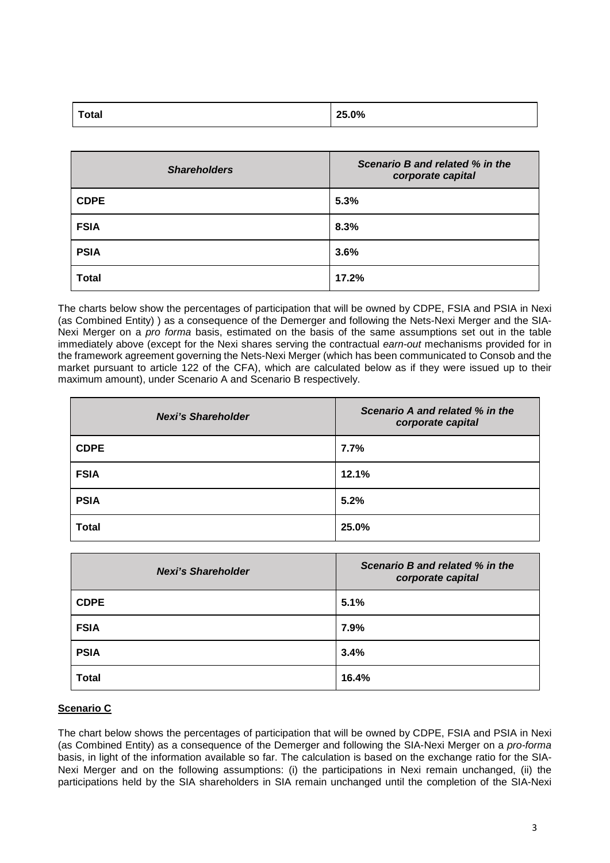| <b>Total</b> | 25.0% |
|--------------|-------|
|              |       |

| <b>Shareholders</b> | Scenario B and related % in the<br>corporate capital |
|---------------------|------------------------------------------------------|
| <b>CDPE</b>         | 5.3%                                                 |
| <b>FSIA</b>         | 8.3%                                                 |
| <b>PSIA</b>         | 3.6%                                                 |
| <b>Total</b>        | 17.2%                                                |

The charts below show the percentages of participation that will be owned by CDPE, FSIA and PSIA in Nexi (as Combined Entity) ) as a consequence of the Demerger and following the Nets-Nexi Merger and the SIA-Nexi Merger on a *pro forma* basis, estimated on the basis of the same assumptions set out in the table immediately above (except for the Nexi shares serving the contractual *earn-out* mechanisms provided for in the framework agreement governing the Nets-Nexi Merger (which has been communicated to Consob and the market pursuant to article 122 of the CFA), which are calculated below as if they were issued up to their maximum amount), under Scenario A and Scenario B respectively.

| <b>Nexi's Shareholder</b> | Scenario A and related % in the<br>corporate capital |
|---------------------------|------------------------------------------------------|
| <b>CDPE</b>               | 7.7%                                                 |
| <b>FSIA</b>               | 12.1%                                                |
| <b>PSIA</b>               | 5.2%                                                 |
| <b>Total</b>              | 25.0%                                                |

| <b>Nexi's Shareholder</b> | Scenario B and related % in the<br>corporate capital |
|---------------------------|------------------------------------------------------|
| <b>CDPE</b>               | 5.1%                                                 |
| <b>FSIA</b>               | 7.9%                                                 |
| <b>PSIA</b>               | 3.4%                                                 |
| <b>Total</b>              | 16.4%                                                |

# **Scenario C**

The chart below shows the percentages of participation that will be owned by CDPE, FSIA and PSIA in Nexi (as Combined Entity) as a consequence of the Demerger and following the SIA-Nexi Merger on a *pro-forma* basis, in light of the information available so far. The calculation is based on the exchange ratio for the SIA-Nexi Merger and on the following assumptions: (i) the participations in Nexi remain unchanged, (ii) the participations held by the SIA shareholders in SIA remain unchanged until the completion of the SIA-Nexi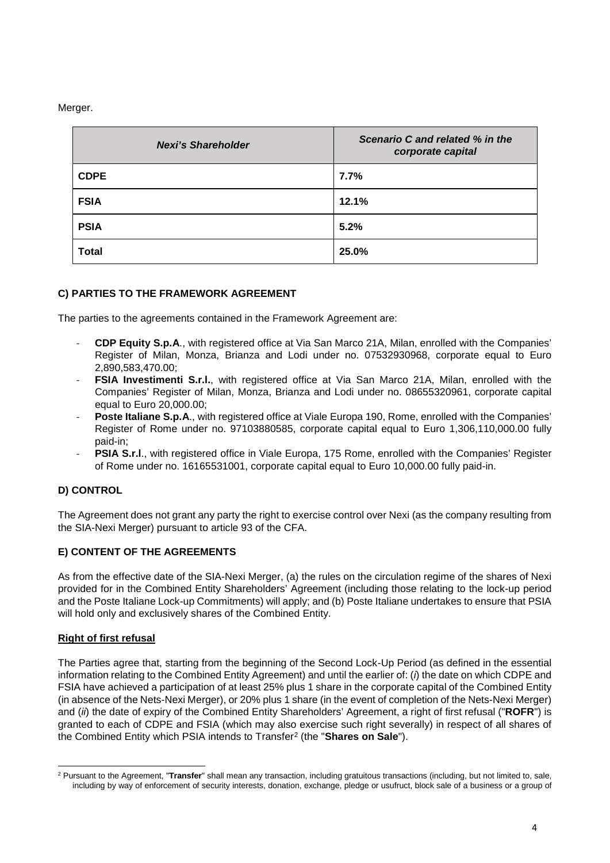Merger.

| <b>Nexi's Shareholder</b> | Scenario C and related % in the<br>corporate capital |
|---------------------------|------------------------------------------------------|
| <b>CDPE</b>               | 7.7%                                                 |
| <b>FSIA</b>               | 12.1%                                                |
| <b>PSIA</b>               | 5.2%                                                 |
| <b>Total</b>              | 25.0%                                                |

# **C) PARTIES TO THE FRAMEWORK AGREEMENT**

The parties to the agreements contained in the Framework Agreement are:

- **CDP Equity S.p.A**., with registered office at Via San Marco 21A, Milan, enrolled with the Companies' Register of Milan, Monza, Brianza and Lodi under no. 07532930968, corporate equal to Euro 2,890,583,470.00;
- **FSIA Investimenti S.r.l.**, with registered office at Via San Marco 21A, Milan, enrolled with the Companies' Register of Milan, Monza, Brianza and Lodi under no. 08655320961, corporate capital equal to Euro 20,000.00;
- **Poste Italiane S.p.A.**, with registered office at Viale Europa 190, Rome, enrolled with the Companies' Register of Rome under no. 97103880585, corporate capital equal to Euro 1,306,110,000.00 fully paid-in;
- PSIA S.r.l., with registered office in Viale Europa, 175 Rome, enrolled with the Companies' Register of Rome under no. 16165531001, corporate capital equal to Euro 10,000.00 fully paid-in.

# **D) CONTROL**

The Agreement does not grant any party the right to exercise control over Nexi (as the company resulting from the SIA-Nexi Merger) pursuant to article 93 of the CFA.

# **E) CONTENT OF THE AGREEMENTS**

As from the effective date of the SIA-Nexi Merger, (a) the rules on the circulation regime of the shares of Nexi provided for in the Combined Entity Shareholders' Agreement (including those relating to the lock-up period and the Poste Italiane Lock-up Commitments) will apply; and (b) Poste Italiane undertakes to ensure that PSIA will hold only and exclusively shares of the Combined Entity.

# **Right of first refusal**

The Parties agree that, starting from the beginning of the Second Lock-Up Period (as defined in the essential information relating to the Combined Entity Agreement) and until the earlier of: (*i*) the date on which CDPE and FSIA have achieved a participation of at least 25% plus 1 share in the corporate capital of the Combined Entity (in absence of the Nets-Nexi Merger), or 20% plus 1 share (in the event of completion of the Nets-Nexi Merger) and (*ii*) the date of expiry of the Combined Entity Shareholders' Agreement, a right of first refusal ("**ROFR**") is granted to each of CDPE and FSIA (which may also exercise such right severally) in respect of all shares of the Combined Entity which PSIA intends to Transfer[2](#page-3-0) (the "**Shares on Sale**").

<span id="page-3-0"></span>**<sup>.</sup>** <sup>2</sup> Pursuant to the Agreement, "**Transfer**" shall mean any transaction, including gratuitous transactions (including, but not limited to, sale, including by way of enforcement of security interests, donation, exchange, pledge or usufruct, block sale of a business or a group of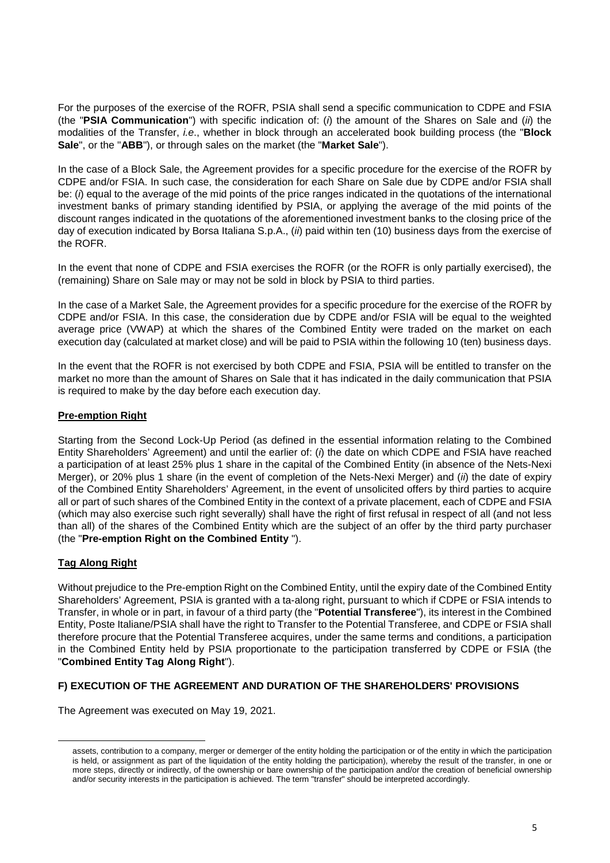For the purposes of the exercise of the ROFR, PSIA shall send a specific communication to CDPE and FSIA (the "**PSIA Communication**") with specific indication of: (*i*) the amount of the Shares on Sale and (*ii*) the modalities of the Transfer, *i.e*., whether in block through an accelerated book building process (the "**Block Sale**", or the "**ABB**"), or through sales on the market (the "**Market Sale**").

In the case of a Block Sale, the Agreement provides for a specific procedure for the exercise of the ROFR by CDPE and/or FSIA. In such case, the consideration for each Share on Sale due by CDPE and/or FSIA shall be: (*i*) equal to the average of the mid points of the price ranges indicated in the quotations of the international investment banks of primary standing identified by PSIA, or applying the average of the mid points of the discount ranges indicated in the quotations of the aforementioned investment banks to the closing price of the day of execution indicated by Borsa Italiana S.p.A., (*ii*) paid within ten (10) business days from the exercise of the ROFR.

In the event that none of CDPE and FSIA exercises the ROFR (or the ROFR is only partially exercised), the (remaining) Share on Sale may or may not be sold in block by PSIA to third parties.

In the case of a Market Sale, the Agreement provides for a specific procedure for the exercise of the ROFR by CDPE and/or FSIA. In this case, the consideration due by CDPE and/or FSIA will be equal to the weighted average price (VWAP) at which the shares of the Combined Entity were traded on the market on each execution day (calculated at market close) and will be paid to PSIA within the following 10 (ten) business days.

In the event that the ROFR is not exercised by both CDPE and FSIA, PSIA will be entitled to transfer on the market no more than the amount of Shares on Sale that it has indicated in the daily communication that PSIA is required to make by the day before each execution day.

## **Pre-emption Right**

Starting from the Second Lock-Up Period (as defined in the essential information relating to the Combined Entity Shareholders' Agreement) and until the earlier of: (*i*) the date on which CDPE and FSIA have reached a participation of at least 25% plus 1 share in the capital of the Combined Entity (in absence of the Nets-Nexi Merger), or 20% plus 1 share (in the event of completion of the Nets-Nexi Merger) and (*ii*) the date of expiry of the Combined Entity Shareholders' Agreement, in the event of unsolicited offers by third parties to acquire all or part of such shares of the Combined Entity in the context of a private placement, each of CDPE and FSIA (which may also exercise such right severally) shall have the right of first refusal in respect of all (and not less than all) of the shares of the Combined Entity which are the subject of an offer by the third party purchaser (the "**Pre-emption Right on the Combined Entity** ").

# **Tag Along Right**

 $\overline{\phantom{a}}$ 

Without prejudice to the Pre-emption Right on the Combined Entity, until the expiry date of the Combined Entity Shareholders' Agreement, PSIA is granted with a ta-along right, pursuant to which if CDPE or FSIA intends to Transfer, in whole or in part, in favour of a third party (the "**Potential Transferee**"), its interest in the Combined Entity, Poste Italiane/PSIA shall have the right to Transfer to the Potential Transferee, and CDPE or FSIA shall therefore procure that the Potential Transferee acquires, under the same terms and conditions, a participation in the Combined Entity held by PSIA proportionate to the participation transferred by CDPE or FSIA (the "**Combined Entity Tag Along Right**").

### **F) EXECUTION OF THE AGREEMENT AND DURATION OF THE SHAREHOLDERS' PROVISIONS**

The Agreement was executed on May 19, 2021.

assets, contribution to a company, merger or demerger of the entity holding the participation or of the entity in which the participation is held, or assignment as part of the liquidation of the entity holding the participation), whereby the result of the transfer, in one or more steps, directly or indirectly, of the ownership or bare ownership of the participation and/or the creation of beneficial ownership and/or security interests in the participation is achieved. The term "transfer" should be interpreted accordingly.